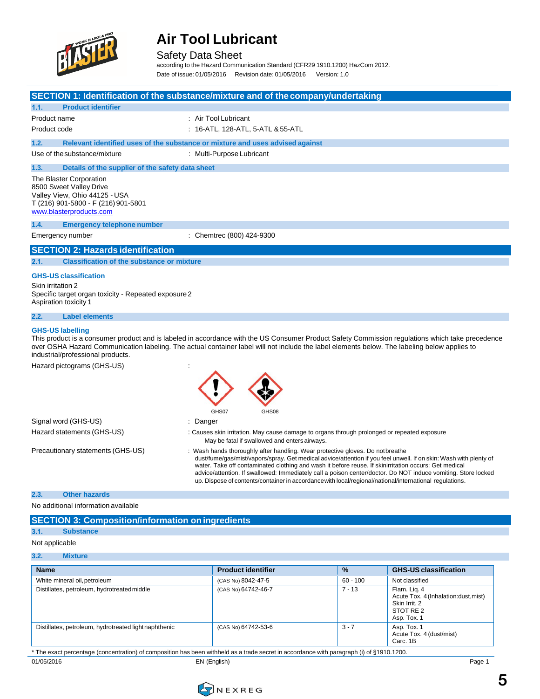

Safety Data Sheet

according to the Hazard Communication Standard (CFR29 1910.1200) HazCom 2012.

Date of issue: 01/05/2016 Revision date: 01/05/2016 Version: 1.0

|                                                                                                                                                       | SECTION 1: Identification of the substance/mixture and of the company/undertaking                                                                                                                                                                                                                                                                                                                                                                                                                                                      |
|-------------------------------------------------------------------------------------------------------------------------------------------------------|----------------------------------------------------------------------------------------------------------------------------------------------------------------------------------------------------------------------------------------------------------------------------------------------------------------------------------------------------------------------------------------------------------------------------------------------------------------------------------------------------------------------------------------|
| <b>Product identifier</b><br>1.1.                                                                                                                     |                                                                                                                                                                                                                                                                                                                                                                                                                                                                                                                                        |
| Product name                                                                                                                                          | : Air Tool Lubricant                                                                                                                                                                                                                                                                                                                                                                                                                                                                                                                   |
| Product code                                                                                                                                          | : 16-ATL, 128-ATL, 5-ATL & 55-ATL                                                                                                                                                                                                                                                                                                                                                                                                                                                                                                      |
| 1.2.                                                                                                                                                  | Relevant identified uses of the substance or mixture and uses advised against                                                                                                                                                                                                                                                                                                                                                                                                                                                          |
| Use of the substance/mixture                                                                                                                          | : Multi-Purpose Lubricant                                                                                                                                                                                                                                                                                                                                                                                                                                                                                                              |
| 1.3.<br>Details of the supplier of the safety data sheet                                                                                              |                                                                                                                                                                                                                                                                                                                                                                                                                                                                                                                                        |
| The Blaster Corporation<br>8500 Sweet Valley Drive<br>Valley View, Ohio 44125 - USA<br>T (216) 901-5800 - F (216) 901-5801<br>www.blasterproducts.com |                                                                                                                                                                                                                                                                                                                                                                                                                                                                                                                                        |
| 1.4.<br><b>Emergency telephone number</b>                                                                                                             |                                                                                                                                                                                                                                                                                                                                                                                                                                                                                                                                        |
| Emergency number                                                                                                                                      | : Chemtrec (800) 424-9300                                                                                                                                                                                                                                                                                                                                                                                                                                                                                                              |
| <b>SECTION 2: Hazards identification</b>                                                                                                              |                                                                                                                                                                                                                                                                                                                                                                                                                                                                                                                                        |
| <b>Classification of the substance or mixture</b><br>2.1.                                                                                             |                                                                                                                                                                                                                                                                                                                                                                                                                                                                                                                                        |
| <b>GHS-US classification</b><br>Skin irritation 2<br>Specific target organ toxicity - Repeated exposure 2<br>Aspiration toxicity 1                    |                                                                                                                                                                                                                                                                                                                                                                                                                                                                                                                                        |
| 2.2.<br><b>Label elements</b>                                                                                                                         |                                                                                                                                                                                                                                                                                                                                                                                                                                                                                                                                        |
| <b>GHS-US labelling</b><br>industrial/professional products.                                                                                          | This product is a consumer product and is labeled in accordance with the US Consumer Product Safety Commission regulations which take precedence<br>over OSHA Hazard Communication labeling. The actual container label will not include the label elements below. The labeling below applies to                                                                                                                                                                                                                                       |
| Hazard pictograms (GHS-US)                                                                                                                            | GHS07<br>GHS08                                                                                                                                                                                                                                                                                                                                                                                                                                                                                                                         |
| Signal word (GHS-US)                                                                                                                                  | : Danger                                                                                                                                                                                                                                                                                                                                                                                                                                                                                                                               |
| Hazard statements (GHS-US)                                                                                                                            | : Causes skin irritation. May cause damage to organs through prolonged or repeated exposure<br>May be fatal if swallowed and enters airways.                                                                                                                                                                                                                                                                                                                                                                                           |
| Precautionary statements (GHS-US)                                                                                                                     | Wash hands thoroughly after handling. Wear protective gloves. Do not breathe<br>dust/fume/gas/mist/vapors/spray. Get medical advice/attention if you feel unwell. If on skin: Wash with plenty of<br>water. Take off contaminated clothing and wash it before reuse. If skinirritation occurs: Get medical<br>advice/attention. If swallowed: Immediately call a poison center/doctor. Do NOT induce vomiting. Store locked<br>up. Dispose of contents/container in accordance with local/regional/national/international regulations. |

**2.3. Other hazards**

No additional information available

|     | <b>SECTION 3: Composition/information on ingredients</b> |
|-----|----------------------------------------------------------|
| 3.1 | <b>Substance</b>                                         |

### Not applicable

#### **3.2. Mixture**

| <b>Name</b>                                           | <b>Product identifier</b> | $\frac{9}{6}$ | <b>GHS-US classification</b>                                                                       |
|-------------------------------------------------------|---------------------------|---------------|----------------------------------------------------------------------------------------------------|
| White mineral oil, petroleum                          | (CAS No) 8042-47-5        | $60 - 100$    | Not classified                                                                                     |
| Distillates, petroleum, hydrotreated middle           | (CAS No) 64742-46-7       | $7 - 13$      | Flam. Lig. 4<br>Acute Tox. 4 (Inhalation: dust, mist)<br>Skin Irrit, 2<br>STOT RE 2<br>Asp. Tox. 1 |
| Distillates, petroleum, hydrotreated light naphthenic | (CAS No) 64742-53-6       | $3 - 7$       | Asp. Tox. 1<br>Acute Tox. 4 (dust/mist)<br>Carc. 1B                                                |

\* The exact percentage (concentration) of composition has been withheld as a trade secret in accordance with paragraph (i) of §1910.1200.

01/05/2016 EN (English) Page 1



**CONEXREG**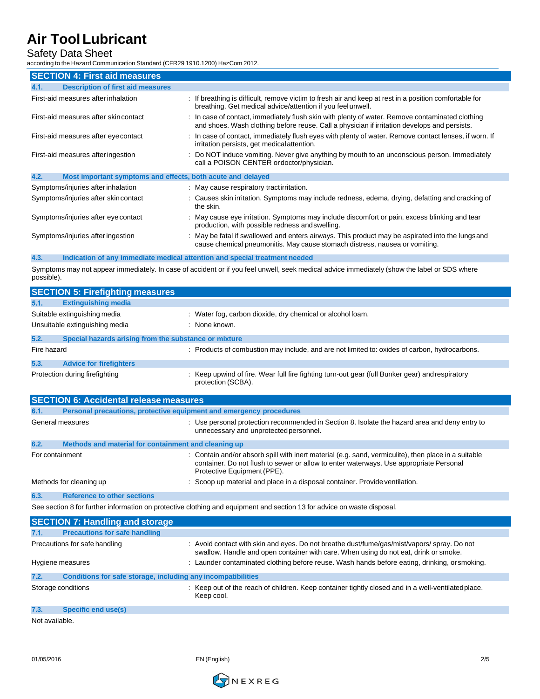## Safety Data Sheet

according to the Hazard Communication Standard (CFR29 1910.1200) HazCom 2012.

| <b>SECTION 4: First aid measures</b>                                |                                                                                                                                                                                                 |  |  |
|---------------------------------------------------------------------|-------------------------------------------------------------------------------------------------------------------------------------------------------------------------------------------------|--|--|
| <b>Description of first aid measures</b><br>4.1.                    |                                                                                                                                                                                                 |  |  |
| First-aid measures after inhalation                                 | : If breathing is difficult, remove victim to fresh air and keep at rest in a position comfortable for<br>breathing. Get medical advice/attention if you feel unwell.                           |  |  |
| First-aid measures after skincontact                                | : In case of contact, immediately flush skin with plenty of water. Remove contaminated clothing<br>and shoes. Wash clothing before reuse. Call a physician if irritation develops and persists. |  |  |
| First-aid measures after eye contact                                | : In case of contact, immediately flush eyes with plenty of water. Remove contact lenses, if worn. If<br>irritation persists, get medical attention.                                            |  |  |
| First-aid measures after ingestion                                  | : Do NOT induce vomiting. Never give anything by mouth to an unconscious person. Immediately<br>call a POISON CENTER ordoctor/physician.                                                        |  |  |
| 4.2.<br>Most important symptoms and effects, both acute and delayed |                                                                                                                                                                                                 |  |  |
| Symptoms/injuries after inhalation                                  | : May cause respiratory tractirritation.                                                                                                                                                        |  |  |
| Symptoms/injuries after skincontact                                 | : Causes skin irritation. Symptoms may include redness, edema, drying, defatting and cracking of<br>the skin.                                                                                   |  |  |
| Symptoms/injuries after eye contact                                 | : May cause eye irritation. Symptoms may include discomfort or pain, excess blinking and tear<br>production, with possible redness and swelling.                                                |  |  |
| Symptoms/injuries after ingestion                                   | : May be fatal if swallowed and enters airways. This product may be aspirated into the lungs and<br>cause chemical pneumonitis. May cause stomach distress, nausea or vomiting.                 |  |  |

### **4.3. Indication of any immediate medical attention and special treatment needed**

Symptoms may not appear immediately. In case of accident or if you feel unwell, seek medical advice immediately (show the label or SDS where possible).

|                  | <b>SECTION 5: Firefighting measures</b>                             |                                                                                                                                         |
|------------------|---------------------------------------------------------------------|-----------------------------------------------------------------------------------------------------------------------------------------|
| 5.1.             | <b>Extinguishing media</b>                                          |                                                                                                                                         |
|                  | Suitable extinguishing media                                        | : Water fog, carbon dioxide, dry chemical or alcohol foam.                                                                              |
|                  | Unsuitable extinguishing media                                      | : None known.                                                                                                                           |
| 5.2.             | Special hazards arising from the substance or mixture               |                                                                                                                                         |
| Fire hazard      |                                                                     | : Products of combustion may include, and are not limited to: oxides of carbon, hydrocarbons.                                           |
| 5.3.             | <b>Advice for firefighters</b>                                      |                                                                                                                                         |
|                  | Protection during firefighting                                      | : Keep upwind of fire. Wear full fire fighting turn-out gear (full Bunker gear) and respiratory<br>protection (SCBA).                   |
|                  | <b>SECTION 6: Accidental release measures</b>                       |                                                                                                                                         |
| 6.1.             | Personal precautions, protective equipment and emergency procedures |                                                                                                                                         |
| General measures |                                                                     | : Use personal protection recommended in Section 8. Isolate the hazard area and deny entry to<br>unnecessary and unprotected personnel. |

| 6.2.            | Methods and material for containment and cleaning up |                                                                                                                                                                                                                               |
|-----------------|------------------------------------------------------|-------------------------------------------------------------------------------------------------------------------------------------------------------------------------------------------------------------------------------|
| For containment |                                                      | : Contain and/or absorb spill with inert material (e.g. sand, vermiculite), then place in a suitable<br>container. Do not flush to sewer or allow to enter waterways. Use appropriate Personal<br>Protective Equipment (PPE). |
|                 | Methods for cleaning up                              | : Scoop up material and place in a disposal container. Provide ventilation.                                                                                                                                                   |
| 6.3.            | <b>Reference to other sections</b>                   |                                                                                                                                                                                                                               |

See section 8 for further information on protective clothing and equipment and section 13 for advice on waste disposal.

|      | <b>SECTION 7: Handling and storage</b>                       |                                                                                                                                                                                     |
|------|--------------------------------------------------------------|-------------------------------------------------------------------------------------------------------------------------------------------------------------------------------------|
| 7.1. | <b>Precautions for safe handling</b>                         |                                                                                                                                                                                     |
|      | Precautions for safe handling                                | : Avoid contact with skin and eyes. Do not breathe dust/fume/gas/mist/vapors/ spray. Do not<br>swallow. Handle and open container with care. When using do not eat, drink or smoke. |
|      | Hygiene measures                                             | : Launder contaminated clothing before reuse. Wash hands before eating, drinking, or smoking.                                                                                       |
| 7.2. | Conditions for safe storage, including any incompatibilities |                                                                                                                                                                                     |
|      | Storage conditions                                           | : Keep out of the reach of children. Keep container tightly closed and in a well-ventilated place.<br>Keep cool.                                                                    |
| 7.3. | Specific end use(s)                                          |                                                                                                                                                                                     |
|      |                                                              |                                                                                                                                                                                     |

Not available.

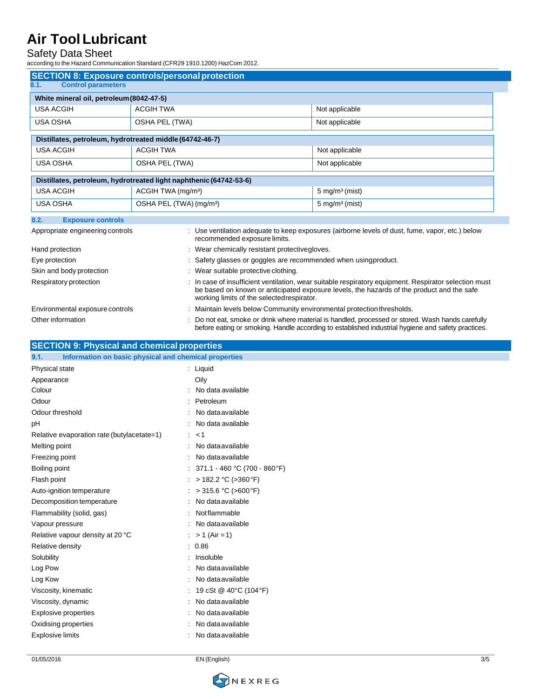### Safety Data Sheet

according to the Hazard Communication Standard (CFR29 1910.1200) HazCom 2012.

| <b>SECTION 8: Exposure controls/personal protection</b>  |                                                                                                                                                                                                                                                  |                                                                                                                                                                                                         |  |
|----------------------------------------------------------|--------------------------------------------------------------------------------------------------------------------------------------------------------------------------------------------------------------------------------------------------|---------------------------------------------------------------------------------------------------------------------------------------------------------------------------------------------------------|--|
| 8.1.<br><b>Control parameters</b>                        |                                                                                                                                                                                                                                                  |                                                                                                                                                                                                         |  |
| White mineral oil, petroleum (8042-47-5)                 |                                                                                                                                                                                                                                                  |                                                                                                                                                                                                         |  |
| <b>USA ACGIH</b>                                         | <b>ACGIH TWA</b>                                                                                                                                                                                                                                 | Not applicable                                                                                                                                                                                          |  |
| <b>USA OSHA</b>                                          | OSHA PEL (TWA)                                                                                                                                                                                                                                   | Not applicable                                                                                                                                                                                          |  |
| Distillates, petroleum, hydrotreated middle (64742-46-7) |                                                                                                                                                                                                                                                  |                                                                                                                                                                                                         |  |
| <b>USA ACGIH</b>                                         | <b>ACGIH TWA</b>                                                                                                                                                                                                                                 |                                                                                                                                                                                                         |  |
|                                                          |                                                                                                                                                                                                                                                  | Not applicable                                                                                                                                                                                          |  |
| <b>USA OSHA</b>                                          | OSHA PEL (TWA)                                                                                                                                                                                                                                   | Not applicable                                                                                                                                                                                          |  |
|                                                          | Distillates, petroleum, hydrotreated light naphthenic (64742-53-6)                                                                                                                                                                               |                                                                                                                                                                                                         |  |
| <b>USA ACGIH</b>                                         | ACGIH TWA (mg/m <sup>3</sup> )                                                                                                                                                                                                                   | $5 \text{ mg/m}^3 \text{ (mist)}$                                                                                                                                                                       |  |
| <b>USA OSHA</b>                                          | OSHA PEL (TWA) (mg/m <sup>3</sup> )                                                                                                                                                                                                              | $5 \text{ mg/m}^3$ (mist)                                                                                                                                                                               |  |
| <b>Exposure controls</b><br>8.2.                         |                                                                                                                                                                                                                                                  |                                                                                                                                                                                                         |  |
| Appropriate engineering controls                         | recommended exposure limits.                                                                                                                                                                                                                     | : Use ventilation adequate to keep exposures (airborne levels of dust, fume, vapor, etc.) below                                                                                                         |  |
| Hand protection                                          | : Wear chemically resistant protective gloves.                                                                                                                                                                                                   |                                                                                                                                                                                                         |  |
| Eye protection                                           | : Safety glasses or goggles are recommended when usingproduct.                                                                                                                                                                                   |                                                                                                                                                                                                         |  |
| Skin and body protection                                 | : Wear suitable protective clothing.                                                                                                                                                                                                             |                                                                                                                                                                                                         |  |
| Respiratory protection                                   | : In case of insufficient ventilation, wear suitable respiratory equipment. Respirator selection must<br>be based on known or anticipated exposure levels, the hazards of the product and the safe<br>working limits of the selected respirator. |                                                                                                                                                                                                         |  |
| Environmental exposure controls                          | : Maintain levels below Community environmental protection thresholds.                                                                                                                                                                           |                                                                                                                                                                                                         |  |
| Other information                                        |                                                                                                                                                                                                                                                  | : Do not eat, smoke or drink where material is handled, processed or stored. Wash hands carefully<br>before eating or smoking. Handle according to established industrial hygiene and safety practices. |  |

### **SECTION 9: Physical and chemical properties**

| 9.1.<br>Information on basic physical and chemical properties |                                   |
|---------------------------------------------------------------|-----------------------------------|
| Physical state                                                | : Liquid                          |
| Appearance                                                    | Oily                              |
| Colour                                                        | : No data available               |
| Odour                                                         | : Petroleum                       |
| Odour threshold                                               | No data available                 |
| pH                                                            | No data available                 |
| Relative evaporation rate (butylacetate=1)                    | : < 1                             |
| Melting point                                                 | No data available<br>÷.           |
| Freezing point                                                | No data available                 |
| Boiling point                                                 | : $371.1 - 460$ °C (700 - 860 °F) |
| Flash point                                                   | : > 182.2 °C (>360 °F)            |
| Auto-ignition temperature                                     | : > 315.6 °C (>600 °F)            |
| Decomposition temperature                                     | No data available<br>÷.           |
| Flammability (solid, gas)                                     | : Notflammable                    |
| Vapour pressure                                               | : No data available               |
| Relative vapour density at 20 °C                              | : $> 1$ (Air = 1)                 |
| Relative density                                              | . 0.86                            |
| Solubility                                                    | Insoluble<br>÷.                   |
| Log Pow                                                       | No data available                 |
| Log Kow                                                       | : No data available               |
| Viscosity, kinematic                                          | : 19 cSt @ 40°C (104°F)           |
| Viscosity, dynamic                                            | No data available                 |
| <b>Explosive properties</b>                                   | No data available                 |
| Oxidising properties                                          | No data available                 |
| <b>Explosive limits</b>                                       | No data available                 |
|                                                               |                                   |

01/05/2016 EN (English) 3/5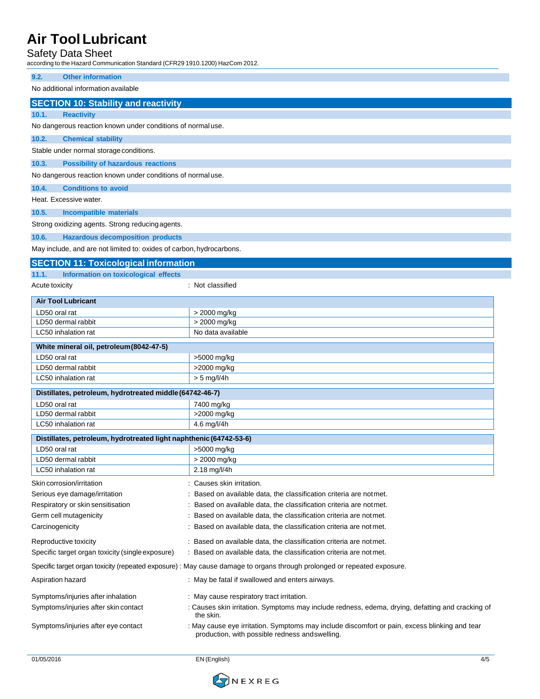### Safety Data Sheet

according to the Hazard Communication Standard (CFR29 1910.1200) HazCom 2012.

| according to the Hazard Communication Standard (CFR29 1910.1200) HazCom 2012. |                                                                                                                                                  |  |  |
|-------------------------------------------------------------------------------|--------------------------------------------------------------------------------------------------------------------------------------------------|--|--|
| <b>Other information</b><br>9.2.                                              |                                                                                                                                                  |  |  |
| No additional information available                                           |                                                                                                                                                  |  |  |
| <b>SECTION 10: Stability and reactivity</b>                                   |                                                                                                                                                  |  |  |
| 10.1.<br><b>Reactivity</b>                                                    |                                                                                                                                                  |  |  |
| No dangerous reaction known under conditions of normal use.                   |                                                                                                                                                  |  |  |
| 10.2.<br><b>Chemical stability</b>                                            |                                                                                                                                                  |  |  |
| Stable under normal storage conditions.                                       |                                                                                                                                                  |  |  |
| 10.3.<br><b>Possibility of hazardous reactions</b>                            |                                                                                                                                                  |  |  |
| No dangerous reaction known under conditions of normal use.                   |                                                                                                                                                  |  |  |
| 10.4.<br><b>Conditions to avoid</b>                                           |                                                                                                                                                  |  |  |
| Heat. Excessive water.                                                        |                                                                                                                                                  |  |  |
| 10.5.<br><b>Incompatible materials</b>                                        |                                                                                                                                                  |  |  |
| Strong oxidizing agents. Strong reducing agents.                              |                                                                                                                                                  |  |  |
| 10.6.<br><b>Hazardous decomposition products</b>                              |                                                                                                                                                  |  |  |
| May include, and are not limited to: oxides of carbon, hydrocarbons.          |                                                                                                                                                  |  |  |
| <b>SECTION 11: Toxicological information</b>                                  |                                                                                                                                                  |  |  |
| 11.1.<br>Information on toxicological effects                                 |                                                                                                                                                  |  |  |
| Acute toxicity                                                                | : Not classified                                                                                                                                 |  |  |
| <b>Air Tool Lubricant</b>                                                     |                                                                                                                                                  |  |  |
| LD50 oral rat                                                                 | > 2000 mg/kg                                                                                                                                     |  |  |
| LD50 dermal rabbit                                                            | > 2000 mg/kg                                                                                                                                     |  |  |
| LC50 inhalation rat                                                           | No data available                                                                                                                                |  |  |
| White mineral oil, petroleum (8042-47-5)                                      |                                                                                                                                                  |  |  |
| LD50 oral rat                                                                 | >5000 mg/kg                                                                                                                                      |  |  |
| LD50 dermal rabbit                                                            | >2000 mg/kg                                                                                                                                      |  |  |
| LC50 inhalation rat                                                           | $> 5$ mg/l/4h                                                                                                                                    |  |  |
| Distillates, petroleum, hydrotreated middle (64742-46-7)                      |                                                                                                                                                  |  |  |
| LD50 oral rat                                                                 | 7400 mg/kg                                                                                                                                       |  |  |
| LD50 dermal rabbit                                                            | >2000 mg/kg                                                                                                                                      |  |  |
| LC50 inhalation rat                                                           | 4.6 mg/l/4h                                                                                                                                      |  |  |
| Distillates, petroleum, hydrotreated light naphthenic (64742-53-6)            |                                                                                                                                                  |  |  |
| LD50 oral rat                                                                 | >5000 mg/kg                                                                                                                                      |  |  |
| LD50 dermal rabbit<br>LC50 inhalation rat                                     | > 2000 mg/kg                                                                                                                                     |  |  |
|                                                                               | 2.18 mg/l/4h                                                                                                                                     |  |  |
| Skin corrosion/irritation                                                     | : Causes skin irritation.                                                                                                                        |  |  |
| Serious eye damage/irritation<br>Respiratory or skin sensitisation            | : Based on available data, the classification criteria are notmet.<br>: Based on available data, the classification criteria are notmet.         |  |  |
| Germ cell mutagenicity                                                        | : Based on available data, the classification criteria are notmet.                                                                               |  |  |
| Carcinogenicity                                                               | : Based on available data, the classification criteria are not met.                                                                              |  |  |
|                                                                               | : Based on available data, the classification criteria are notmet.                                                                               |  |  |
| Reproductive toxicity<br>Specific target organ toxicity (single exposure)     | : Based on available data, the classification criteria are not met.                                                                              |  |  |
|                                                                               |                                                                                                                                                  |  |  |
|                                                                               | Specific target organ toxicity (repeated exposure) : May cause damage to organs through prolonged or repeated exposure.                          |  |  |
| Aspiration hazard                                                             | : May be fatal if swallowed and enters airways.                                                                                                  |  |  |
| Symptoms/injuries after inhalation                                            | : May cause respiratory tract irritation.                                                                                                        |  |  |
| Symptoms/injuries after skin contact                                          | : Causes skin irritation. Symptoms may include redness, edema, drying, defatting and cracking of<br>the skin.                                    |  |  |
| Symptoms/injuries after eye contact                                           | : May cause eye irritation. Symptoms may include discomfort or pain, excess blinking and tear<br>production, with possible redness and swelling. |  |  |

01/05/2016 EN (English) 4/5